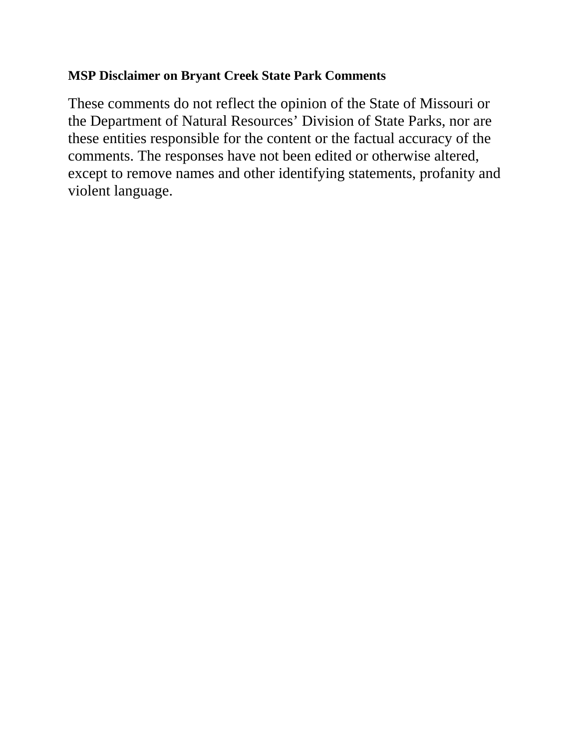# **MSP Disclaimer on Bryant Creek State Park Comments**

These comments do not reflect the opinion of the State of Missouri or the Department of Natural Resources' Division of State Parks, nor are these entities responsible for the content or the factual accuracy of the comments. The responses have not been edited or otherwise altered, except to remove names and other identifying statements, profanity and violent language.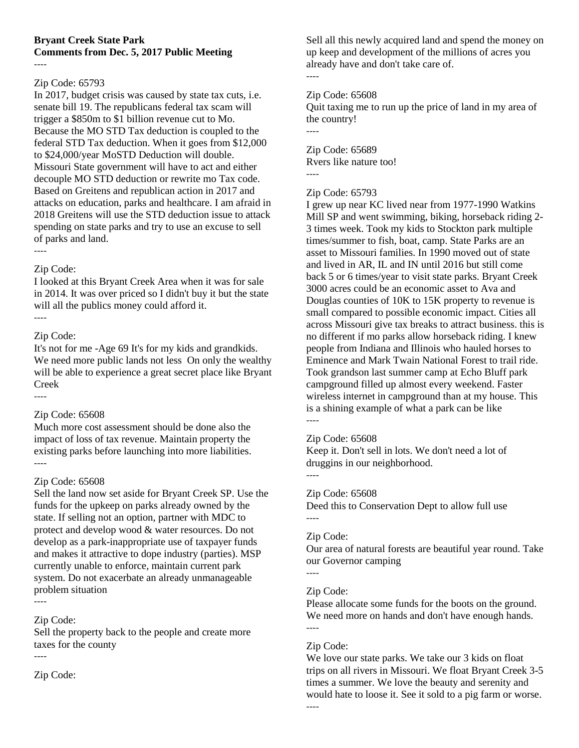## **Bryant Creek State Park Comments from Dec. 5, 2017 Public Meeting**

#### ----

## Zip Code: 65793

In 2017, budget crisis was caused by state tax cuts, i.e. senate bill 19. The republicans federal tax scam will trigger a \$850m to \$1 billion revenue cut to Mo. Because the MO STD Tax deduction is coupled to the federal STD Tax deduction. When it goes from \$12,000 to \$24,000/year MoSTD Deduction will double. Missouri State government will have to act and either decouple MO STD deduction or rewrite mo Tax code. Based on Greitens and republican action in 2017 and attacks on education, parks and healthcare. I am afraid in 2018 Greitens will use the STD deduction issue to attack spending on state parks and try to use an excuse to sell of parks and land. ----

### Zip Code:

I looked at this Bryant Creek Area when it was for sale in 2014. It was over priced so I didn't buy it but the state will all the publics money could afford it. ----

## Zip Code:

----

It's not for me -Age 69 It's for my kids and grandkids. We need more public lands not less On only the wealthy will be able to experience a great secret place like Bryant Creek

### Zip Code: 65608

Much more cost assessment should be done also the impact of loss of tax revenue. Maintain property the existing parks before launching into more liabilities. ----

### Zip Code: 65608

Sell the land now set aside for Bryant Creek SP. Use the funds for the upkeep on parks already owned by the state. If selling not an option, partner with MDC to protect and develop wood & water resources. Do not develop as a park-inappropriate use of taxpayer funds and makes it attractive to dope industry (parties). MSP currently unable to enforce, maintain current park system. Do not exacerbate an already unmanageable problem situation ----

## Zip Code:

Sell the property back to the people and create more taxes for the county

----

Zip Code:

Sell all this newly acquired land and spend the money on up keep and development of the millions of acres you already have and don't take care of.

## Zip Code: 65608

----

----

Quit taxing me to run up the price of land in my area of the country!

Zip Code: 65689 Rvers like nature too! ----

## Zip Code: 65793

I grew up near KC lived near from 1977-1990 Watkins Mill SP and went swimming, biking, horseback riding 2- 3 times week. Took my kids to Stockton park multiple times/summer to fish, boat, camp. State Parks are an asset to Missouri families. In 1990 moved out of state and lived in AR, IL and IN until 2016 but still come back 5 or 6 times/year to visit state parks. Bryant Creek 3000 acres could be an economic asset to Ava and Douglas counties of 10K to 15K property to revenue is small compared to possible economic impact. Cities all across Missouri give tax breaks to attract business. this is no different if mo parks allow horseback riding. I knew people from Indiana and Illinois who hauled horses to Eminence and Mark Twain National Forest to trail ride. Took grandson last summer camp at Echo Bluff park campground filled up almost every weekend. Faster wireless internet in campground than at my house. This is a shining example of what a park can be like ----

### Zip Code: 65608

Keep it. Don't sell in lots. We don't need a lot of druggins in our neighborhood. ----

### Zip Code: 65608

Deed this to Conservation Dept to allow full use ----

### Zip Code:

Our area of natural forests are beautiful year round. Take our Governor camping

### Zip Code:

----

Please allocate some funds for the boots on the ground. We need more on hands and don't have enough hands. ----

## Zip Code:

We love our state parks. We take our 3 kids on float trips on all rivers in Missouri. We float Bryant Creek 3-5 times a summer. We love the beauty and serenity and would hate to loose it. See it sold to a pig farm or worse.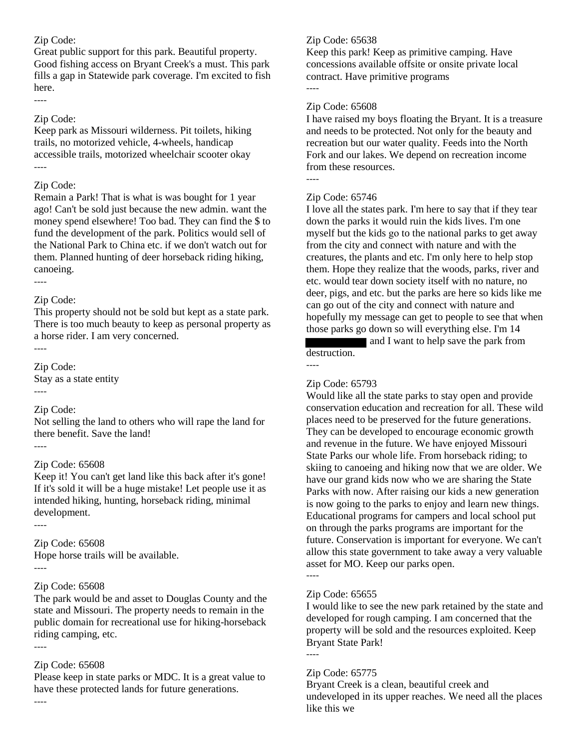## Zip Code:

Great public support for this park. Beautiful property. Good fishing access on Bryant Creek's a must. This park fills a gap in Statewide park coverage. I'm excited to fish here.

## Zip Code:

----

Keep park as Missouri wilderness. Pit toilets, hiking trails, no motorized vehicle, 4-wheels, handicap accessible trails, motorized wheelchair scooter okay ----

## Zip Code:

Remain a Park! That is what is was bought for 1 year ago! Can't be sold just because the new admin. want the money spend elsewhere! Too bad. They can find the \$ to fund the development of the park. Politics would sell of the National Park to China etc. if we don't watch out for them. Planned hunting of deer horseback riding hiking, canoeing.

#### ----

----

----

----

### Zip Code:

This property should not be sold but kept as a state park. There is too much beauty to keep as personal property as a horse rider. I am very concerned.

Zip Code:

Stay as a state entity ----

## Zip Code:

Not selling the land to others who will rape the land for there benefit. Save the land!

### Zip Code: 65608

Keep it! You can't get land like this back after it's gone! If it's sold it will be a huge mistake! Let people use it as intended hiking, hunting, horseback riding, minimal development.

Zip Code: 65608 Hope horse trails will be available. ----

### Zip Code: 65608

The park would be and asset to Douglas County and the state and Missouri. The property needs to remain in the public domain for recreational use for hiking-horseback riding camping, etc.

----

### Zip Code: 65608

Please keep in state parks or MDC. It is a great value to have these protected lands for future generations. ----

## Zip Code: 65638

Keep this park! Keep as primitive camping. Have concessions available offsite or onsite private local contract. Have primitive programs ----

## Zip Code: 65608

I have raised my boys floating the Bryant. It is a treasure and needs to be protected. Not only for the beauty and recreation but our water quality. Feeds into the North Fork and our lakes. We depend on recreation income from these resources. ----

## Zip Code: 65746

I love all the states park. I'm here to say that if they tear down the parks it would ruin the kids lives. I'm one myself but the kids go to the national parks to get away from the city and connect with nature and with the creatures, the plants and etc. I'm only here to help stop them. Hope they realize that the woods, parks, river and etc. would tear down society itself with no nature, no deer, pigs, and etc. but the parks are here so kids like me can go out of the city and connect with nature and hopefully my message can get to people to see that when those parks go down so will everything else. I'm 14

 and I want to help save the park from destruction.

### Zip Code: 65793

----

Would like all the state parks to stay open and provide conservation education and recreation for all. These wild places need to be preserved for the future generations. They can be developed to encourage economic growth and revenue in the future. We have enjoyed Missouri State Parks our whole life. From horseback riding; to skiing to canoeing and hiking now that we are older. We have our grand kids now who we are sharing the State Parks with now. After raising our kids a new generation is now going to the parks to enjoy and learn new things. Educational programs for campers and local school put on through the parks programs are important for the future. Conservation is important for everyone. We can't allow this state government to take away a very valuable asset for MO. Keep our parks open.

### Zip Code: 65655

----

----

I would like to see the new park retained by the state and developed for rough camping. I am concerned that the property will be sold and the resources exploited. Keep Bryant State Park!

### Zip Code: 65775

Bryant Creek is a clean, beautiful creek and undeveloped in its upper reaches. We need all the places like this we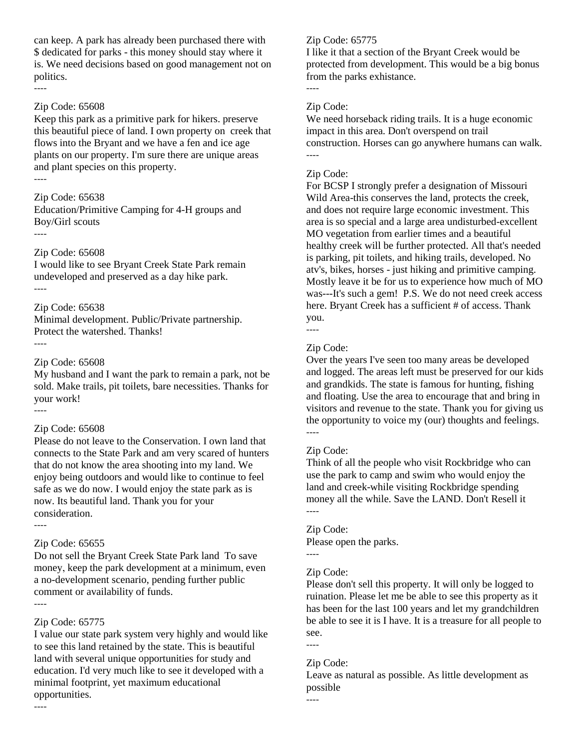can keep. A park has already been purchased there with \$ dedicated for parks - this money should stay where it is. We need decisions based on good management not on politics.  $\overline{\phantom{a}}$ 

#### Zip Code: 65608

Keep this park as a primitive park for hikers. preserve this beautiful piece of land. I own property on creek that flows into the Bryant and we have a fen and ice age plants on our property. I'm sure there are unique areas and plant species on this property. ----

#### Zip Code: 65638

Education/Primitive Camping for 4-H groups and Boy/Girl scouts

----

#### Zip Code: 65608

I would like to see Bryant Creek State Park remain undeveloped and preserved as a day hike park. ----

## Zip Code: 65638

Minimal development. Public/Private partnership. Protect the watershed. Thanks!

----

#### Zip Code: 65608

My husband and I want the park to remain a park, not be sold. Make trails, pit toilets, bare necessities. Thanks for your work!

----

#### Zip Code: 65608

Please do not leave to the Conservation. I own land that connects to the State Park and am very scared of hunters that do not know the area shooting into my land. We enjoy being outdoors and would like to continue to feel safe as we do now. I would enjoy the state park as is now. Its beautiful land. Thank you for your consideration. ----

#### Zip Code: 65655

Do not sell the Bryant Creek State Park land To save money, keep the park development at a minimum, even a no-development scenario, pending further public comment or availability of funds. ----

#### Zip Code: 65775

I value our state park system very highly and would like to see this land retained by the state. This is beautiful land with several unique opportunities for study and education. I'd very much like to see it developed with a minimal footprint, yet maximum educational opportunities.

#### Zip Code: 65775

I like it that a section of the Bryant Creek would be protected from development. This would be a big bonus from the parks exhistance. ----

#### Zip Code:

We need horseback riding trails. It is a huge economic impact in this area. Don't overspend on trail construction. Horses can go anywhere humans can walk. ----

#### Zip Code:

For BCSP I strongly prefer a designation of Missouri Wild Area-this conserves the land, protects the creek, and does not require large economic investment. This area is so special and a large area undisturbed-excellent MO vegetation from earlier times and a beautiful healthy creek will be further protected. All that's needed is parking, pit toilets, and hiking trails, developed. No atv's, bikes, horses - just hiking and primitive camping. Mostly leave it be for us to experience how much of MO was---It's such a gem! P.S. We do not need creek access here. Bryant Creek has a sufficient # of access. Thank you.

----

### Zip Code:

Over the years I've seen too many areas be developed and logged. The areas left must be preserved for our kids and grandkids. The state is famous for hunting, fishing and floating. Use the area to encourage that and bring in visitors and revenue to the state. Thank you for giving us the opportunity to voice my (our) thoughts and feelings. ----

#### Zip Code:

Think of all the people who visit Rockbridge who can use the park to camp and swim who would enjoy the land and creek-while visiting Rockbridge spending money all the while. Save the LAND. Don't Resell it ----

#### Zip Code:

----

Please open the parks.

#### Zip Code:

Please don't sell this property. It will only be logged to ruination. Please let me be able to see this property as it has been for the last 100 years and let my grandchildren be able to see it is I have. It is a treasure for all people to see.

----

----

#### Zip Code:

Leave as natural as possible. As little development as possible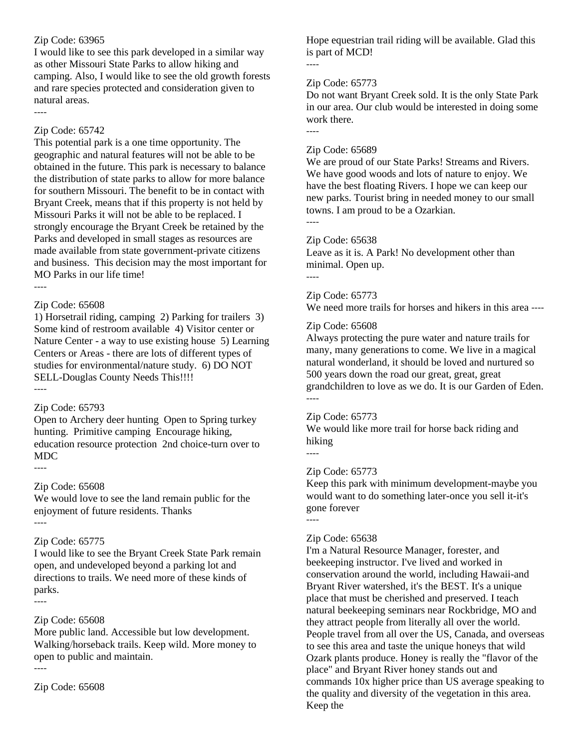## Zip Code: 63965

I would like to see this park developed in a similar way as other Missouri State Parks to allow hiking and camping. Also, I would like to see the old growth forests and rare species protected and consideration given to natural areas.

----

## Zip Code: 65742

This potential park is a one time opportunity. The geographic and natural features will not be able to be obtained in the future. This park is necessary to balance the distribution of state parks to allow for more balance for southern Missouri. The benefit to be in contact with Bryant Creek, means that if this property is not held by Missouri Parks it will not be able to be replaced. I strongly encourage the Bryant Creek be retained by the Parks and developed in small stages as resources are made available from state government-private citizens and business. This decision may the most important for MO Parks in our life time! ----

## Zip Code: 65608

1) Horsetrail riding, camping 2) Parking for trailers 3) Some kind of restroom available 4) Visitor center or Nature Center - a way to use existing house 5) Learning Centers or Areas - there are lots of different types of studies for environmental/nature study. 6) DO NOT SELL-Douglas County Needs This!!!!

## ----

### Zip Code: 65793

Open to Archery deer hunting Open to Spring turkey hunting. Primitive camping Encourage hiking, education resource protection 2nd choice-turn over to MDC

----

### Zip Code: 65608

We would love to see the land remain public for the enjoyment of future residents. Thanks ----

### Zip Code: 65775

I would like to see the Bryant Creek State Park remain open, and undeveloped beyond a parking lot and directions to trails. We need more of these kinds of parks. ----

## Zip Code: 65608

More public land. Accessible but low development. Walking/horseback trails. Keep wild. More money to open to public and maintain. ----

Zip Code: 65608

Hope equestrian trail riding will be available. Glad this is part of MCD!

----

----

#### Zip Code: 65773

Do not want Bryant Creek sold. It is the only State Park in our area. Our club would be interested in doing some work there.

#### Zip Code: 65689

We are proud of our State Parks! Streams and Rivers. We have good woods and lots of nature to enjoy. We have the best floating Rivers. I hope we can keep our new parks. Tourist bring in needed money to our small towns. I am proud to be a Ozarkian.

----

----

### Zip Code: 65638

Leave as it is. A Park! No development other than minimal. Open up.

## Zip Code: 65773

We need more trails for horses and hikers in this area ----

### Zip Code: 65608

Always protecting the pure water and nature trails for many, many generations to come. We live in a magical natural wonderland, it should be loved and nurtured so 500 years down the road our great, great, great grandchildren to love as we do. It is our Garden of Eden. ----

#### Zip Code: 65773

We would like more trail for horse back riding and hiking

----

### Zip Code: 65773

Keep this park with minimum development-maybe you would want to do something later-once you sell it-it's gone forever ----

### Zip Code: 65638

I'm a Natural Resource Manager, forester, and beekeeping instructor. I've lived and worked in conservation around the world, including Hawaii-and Bryant River watershed, it's the BEST. It's a unique place that must be cherished and preserved. I teach natural beekeeping seminars near Rockbridge, MO and they attract people from literally all over the world. People travel from all over the US, Canada, and overseas to see this area and taste the unique honeys that wild Ozark plants produce. Honey is really the "flavor of the place" and Bryant River honey stands out and commands 10x higher price than US average speaking to the quality and diversity of the vegetation in this area. Keep the